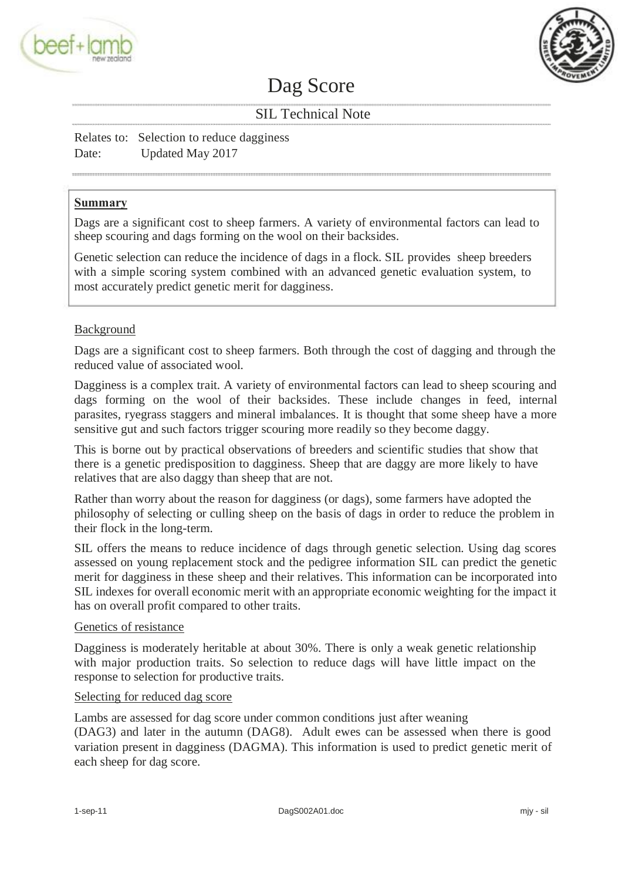



# Dag Score

# SIL Technical Note

Relates to: Selection to reduce dagginess Date: Updated May 2017

# **Summary**

Dags are a significant cost to sheep farmers. A variety of environmental factors can lead to sheep scouring and dags forming on the wool on their backsides.

Genetic selection can reduce the incidence of dags in a flock. SIL provides sheep breeders with a simple scoring system combined with an advanced genetic evaluation system, to most accurately predict genetic merit for dagginess.

# Background

Dags are a significant cost to sheep farmers. Both through the cost of dagging and through the reduced value of associated wool.

Dagginess is a complex trait. A variety of environmental factors can lead to sheep scouring and dags forming on the wool of their backsides. These include changes in feed, internal parasites, ryegrass staggers and mineral imbalances. It is thought that some sheep have a more sensitive gut and such factors trigger scouring more readily so they become daggy.

This is borne out by practical observations of breeders and scientific studies that show that there is a genetic predisposition to dagginess. Sheep that are daggy are more likely to have relatives that are also daggy than sheep that are not.

Rather than worry about the reason for dagginess (or dags), some farmers have adopted the philosophy of selecting or culling sheep on the basis of dags in order to reduce the problem in their flock in the long-term.

SIL offers the means to reduce incidence of dags through genetic selection. Using dag scores assessed on young replacement stock and the pedigree information SIL can predict the genetic merit for dagginess in these sheep and their relatives. This information can be incorporated into SIL indexes for overall economic merit with an appropriate economic weighting for the impact it has on overall profit compared to other traits.

# Genetics of resistance

Dagginess is moderately heritable at about 30%. There is only a weak genetic relationship with major production traits. So selection to reduce dags will have little impact on the response to selection for productive traits.

#### Selecting for reduced dag score

Lambs are assessed for dag score under common conditions just after weaning (DAG3) and later in the autumn (DAG8). Adult ewes can be assessed when there is good variation present in dagginess (DAGMA). This information is used to predict genetic merit of each sheep for dag score.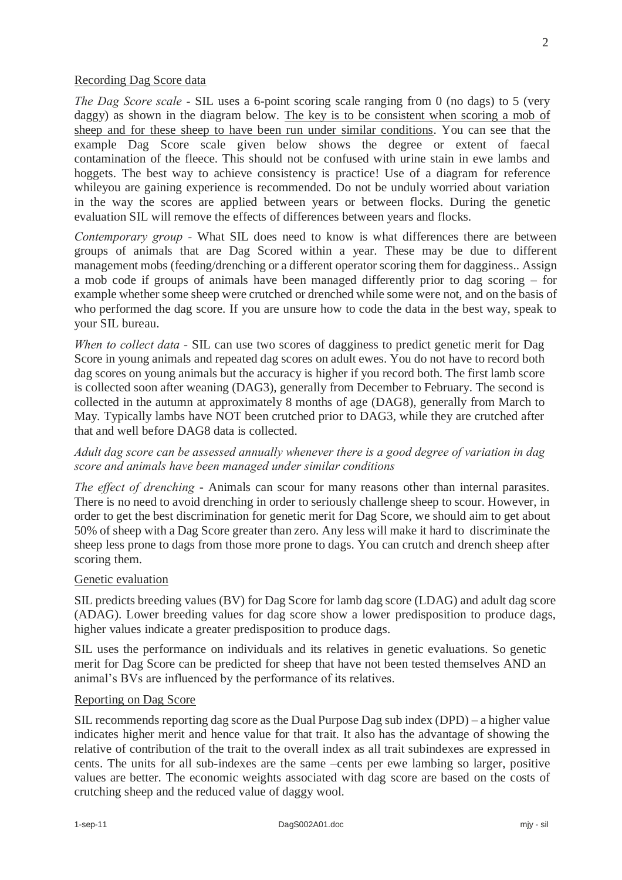#### Recording Dag Score data

*The Dag Score scale -* SIL uses a 6-point scoring scale ranging from 0 (no dags) to 5 (very daggy) as shown in the diagram below. The key is to be consistent when scoring a mob of sheep and for these sheep to have been run under similar conditions. You can see that the example Dag Score scale given below shows the degree or extent of faecal contamination of the fleece. This should not be confused with urine stain in ewe lambs and hoggets. The best way to achieve consistency is practice! Use of a diagram for reference whileyou are gaining experience is recommended. Do not be unduly worried about variation in the way the scores are applied between years or between flocks. During the genetic evaluation SIL will remove the effects of differences between years and flocks.

*Contemporary group -* What SIL does need to know is what differences there are between groups of animals that are Dag Scored within a year. These may be due to different management mobs (feeding/drenching or a different operator scoring them for dagginess.. Assign a mob code if groups of animals have been managed differently prior to dag scoring – for example whether some sheep were crutched or drenched while some were not, and on the basis of who performed the dag score. If you are unsure how to code the data in the best way, speak to your SIL bureau.

*When to collect data -* SIL can use two scores of dagginess to predict genetic merit for Dag Score in young animals and repeated dag scores on adult ewes. You do not have to record both dag scores on young animals but the accuracy is higher if you record both. The first lamb score is collected soon after weaning (DAG3), generally from December to February. The second is collected in the autumn at approximately 8 months of age (DAG8), generally from March to May. Typically lambs have NOT been crutched prior to DAG3, while they are crutched after that and well before DAG8 data is collected.

# *Adult dag score can be assessed annually whenever there is a good degree of variation in dag score and animals have been managed under similar conditions*

*The effect of drenching* - Animals can scour for many reasons other than internal parasites. There is no need to avoid drenching in order to seriously challenge sheep to scour. However, in order to get the best discrimination for genetic merit for Dag Score, we should aim to get about 50% of sheep with a Dag Score greater than zero. Any less will make it hard to discriminate the sheep less prone to dags from those more prone to dags. You can crutch and drench sheep after scoring them.

# Genetic evaluation

SIL predicts breeding values (BV) for Dag Score for lamb dag score (LDAG) and adult dag score (ADAG). Lower breeding values for dag score show a lower predisposition to produce dags, higher values indicate a greater predisposition to produce dags.

SIL uses the performance on individuals and its relatives in genetic evaluations. So genetic merit for Dag Score can be predicted for sheep that have not been tested themselves AND an animal's BVs are influenced by the performance of its relatives.

#### Reporting on Dag Score

SIL recommends reporting dag score as the Dual Purpose Dag sub index (DPD) – a higher value indicates higher merit and hence value for that trait. It also has the advantage of showing the relative of contribution of the trait to the overall index as all trait subindexes are expressed in cents. The units for all sub-indexes are the same –cents per ewe lambing so larger, positive values are better. The economic weights associated with dag score are based on the costs of crutching sheep and the reduced value of daggy wool.